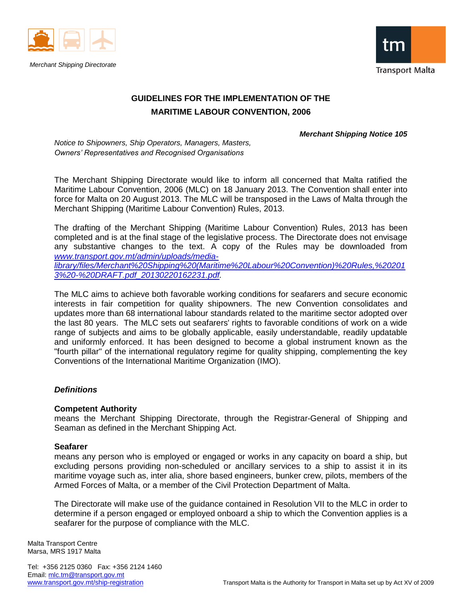



# **GUIDELINES FOR THE IMPLEMENTATION OF THE MARITIME LABOUR CONVENTION, 2006**

#### *Merchant Shipping Notice 105*

*Notice to Shipowners, Ship Operators, Managers, Masters, Owners' Representatives and Recognised Organisations*

The Merchant Shipping Directorate would like to inform all concerned that Malta ratified the Maritime Labour Convention, 2006 (MLC) on 18 January 2013. The Convention shall enter into force for Malta on 20 August 2013. The MLC will be transposed in the Laws of Malta through the Merchant Shipping (Maritime Labour Convention) Rules, 2013.

The drafting of the Merchant Shipping (Maritime Labour Convention) Rules, 2013 has been completed and is at the final stage of the legislative process. The Directorate does not envisage any substantive changes to the text. A copy of the Rules may be downloaded from *[www.transport.gov.mt/admin/uploads/media](http://www.transport.gov.mt/admin/uploads/media-library/files/Merchant%20Shipping%20(Maritime%20Labour%20Convention)%20Rules,%202013%20-%20DRAFT.pdf_20130220162231.pdf)[library/files/Merchant%20Shipping%20\(Maritime%20Labour%20Convention\)%20Rules,%20201](http://www.transport.gov.mt/admin/uploads/media-library/files/Merchant%20Shipping%20(Maritime%20Labour%20Convention)%20Rules,%202013%20-%20DRAFT.pdf_20130220162231.pdf) [3%20-%20DRAFT.pdf\\_20130220162231.pdf.](http://www.transport.gov.mt/admin/uploads/media-library/files/Merchant%20Shipping%20(Maritime%20Labour%20Convention)%20Rules,%202013%20-%20DRAFT.pdf_20130220162231.pdf)*

The MLC aims to achieve both favorable working conditions for seafarers and secure economic interests in fair competition for quality shipowners. The new Convention consolidates and updates more than 68 international labour standards related to the maritime sector adopted over the last 80 years. The MLC sets out seafarers' rights to favorable conditions of work on a wide range of subjects and aims to be globally applicable, easily understandable, readily updatable and uniformly enforced. It has been designed to become a global instrument known as the "fourth pillar" of the international regulatory regime for quality shipping, complementing the key Conventions of the International Maritime Organization (IMO).

## *Definitions*

#### **Competent Authority**

means the Merchant Shipping Directorate, through the Registrar-General of Shipping and Seaman as defined in the Merchant Shipping Act.

#### **Seafarer**

means any person who is employed or engaged or works in any capacity on board a ship, but excluding persons providing non-scheduled or ancillary services to a ship to assist it in its maritime voyage such as, inter alia, shore based engineers, bunker crew, pilots, members of the Armed Forces of Malta, or a member of the Civil Protection Department of Malta.

The Directorate will make use of the guidance contained in Resolution VII to the MLC in order to determine if a person engaged or employed onboard a ship to which the Convention applies is a seafarer for the purpose of compliance with the MLC.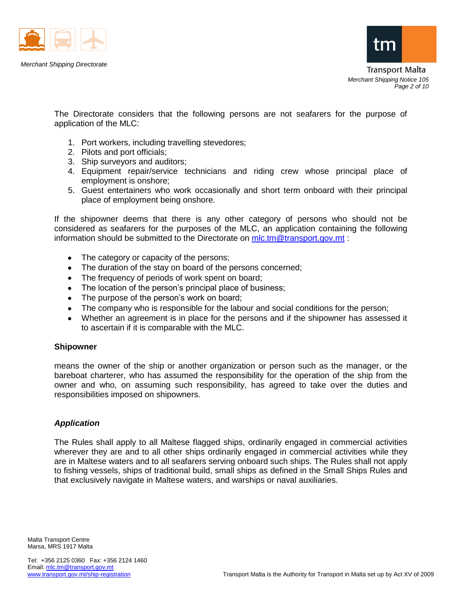



The Directorate considers that the following persons are not seafarers for the purpose of application of the MLC:

- 1. Port workers, including travelling stevedores;
- 2. Pilots and port officials;
- 3. Ship surveyors and auditors;
- 4. Equipment repair/service technicians and riding crew whose principal place of employment is onshore;
- 5. Guest entertainers who work occasionally and short term onboard with their principal place of employment being onshore.

If the shipowner deems that there is any other category of persons who should not be considered as seafarers for the purposes of the MLC, an application containing the following information should be submitted to the Directorate on [mlc.tm@transport.gov.mt](mailto:mlc.tm@transport.gov.mt):

- The category or capacity of the persons;  $\bullet$
- $\bullet$ The duration of the stay on board of the persons concerned;
- The frequency of periods of work spent on board;
- The location of the person's principal place of business;  $\bullet$
- The purpose of the person's work on board;
- The company who is responsible for the labour and social conditions for the person;
- $\bullet$ Whether an agreement is in place for the persons and if the shipowner has assessed it to ascertain if it is comparable with the MLC.

#### **Shipowner**

means the owner of the ship or another organization or person such as the manager, or the bareboat charterer, who has assumed the responsibility for the operation of the ship from the owner and who, on assuming such responsibility, has agreed to take over the duties and responsibilities imposed on shipowners.

## *Application*

The Rules shall apply to all Maltese flagged ships, ordinarily engaged in commercial activities wherever they are and to all other ships ordinarily engaged in commercial activities while they are in Maltese waters and to all seafarers serving onboard such ships. The Rules shall not apply to fishing vessels, ships of traditional build, small ships as defined in the Small Ships Rules and that exclusively navigate in Maltese waters, and warships or naval auxiliaries.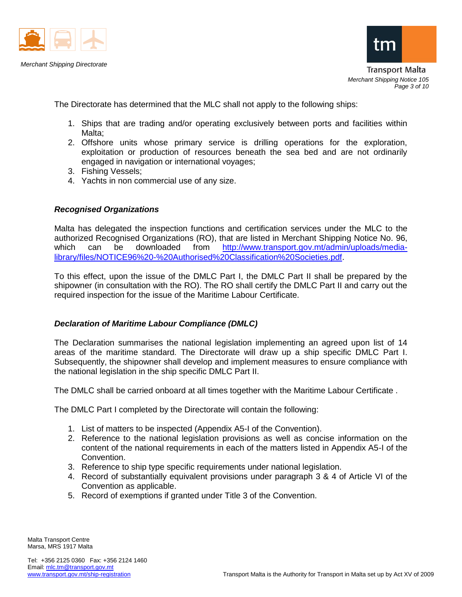



**Transport Malta** *Merchant Shipping Notice 105 Page 3 of 10*

The Directorate has determined that the MLC shall not apply to the following ships:

- 1. Ships that are trading and/or operating exclusively between ports and facilities within Malta:
- 2. Offshore units whose primary service is drilling operations for the exploration, exploitation or production of resources beneath the sea bed and are not ordinarily engaged in navigation or international voyages;
- 3. Fishing Vessels;
- 4. Yachts in non commercial use of any size.

## *Recognised Organizations*

Malta has delegated the inspection functions and certification services under the MLC to the authorized Recognised Organizations (RO), that are listed in Merchant Shipping Notice No. 96, which can be downloaded from [http://www.transport.gov.mt/admin/uploads/media](http://www.transport.gov.mt/admin/uploads/media-library/files/NOTICE96%20-%20Authorised%20Classification%20Societies.pdf)[library/files/NOTICE96%20-%20Authorised%20Classification%20Societies.pdf.](http://www.transport.gov.mt/admin/uploads/media-library/files/NOTICE96%20-%20Authorised%20Classification%20Societies.pdf)

To this effect, upon the issue of the DMLC Part I, the DMLC Part II shall be prepared by the shipowner (in consultation with the RO). The RO shall certify the DMLC Part II and carry out the required inspection for the issue of the Maritime Labour Certificate.

## *Declaration of Maritime Labour Compliance (DMLC)*

The Declaration summarises the national legislation implementing an agreed upon list of 14 areas of the maritime standard. The Directorate will draw up a ship specific DMLC Part I. Subsequently, the shipowner shall develop and implement measures to ensure compliance with the national legislation in the ship specific DMLC Part II.

The DMLC shall be carried onboard at all times together with the Maritime Labour Certificate .

The DMLC Part I completed by the Directorate will contain the following:

- 1. List of matters to be inspected (Appendix A5-I of the Convention).
- 2. Reference to the national legislation provisions as well as concise information on the content of the national requirements in each of the matters listed in Appendix A5-I of the Convention.
- 3. Reference to ship type specific requirements under national legislation.
- 4. Record of substantially equivalent provisions under paragraph 3 & 4 of Article VI of the Convention as applicable.
- 5. Record of exemptions if granted under Title 3 of the Convention.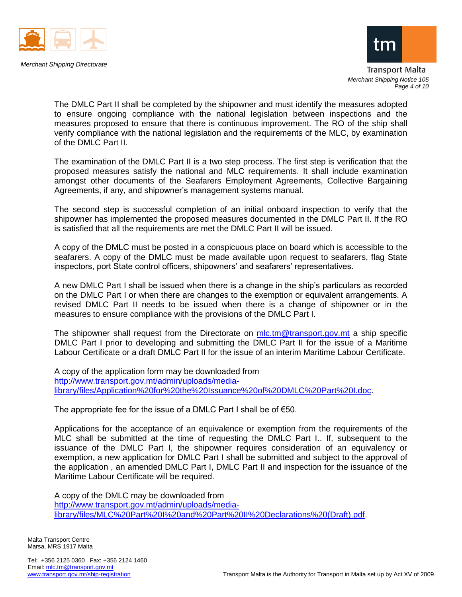



Transport Malta *Merchant Shipping Notice 105 Page 4 of 10*

The DMLC Part II shall be completed by the shipowner and must identify the measures adopted to ensure ongoing compliance with the national legislation between inspections and the measures proposed to ensure that there is continuous improvement. The RO of the ship shall verify compliance with the national legislation and the requirements of the MLC, by examination of the DMLC Part II.

The examination of the DMLC Part II is a two step process. The first step is verification that the proposed measures satisfy the national and MLC requirements. It shall include examination amongst other documents of the Seafarers Employment Agreements, Collective Bargaining Agreements, if any, and shipowner's management systems manual.

The second step is successful completion of an initial onboard inspection to verify that the shipowner has implemented the proposed measures documented in the DMLC Part II. If the RO is satisfied that all the requirements are met the DMLC Part II will be issued.

A copy of the DMLC must be posted in a conspicuous place on board which is accessible to the seafarers. A copy of the DMLC must be made available upon request to seafarers, flag State inspectors, port State control officers, shipowners' and seafarers' representatives.

A new DMLC Part I shall be issued when there is a change in the ship's particulars as recorded on the DMLC Part I or when there are changes to the exemption or equivalent arrangements. A revised DMLC Part II needs to be issued when there is a change of shipowner or in the measures to ensure compliance with the provisions of the DMLC Part I.

The shipowner shall request from the Directorate on [mlc.tm@transport.gov.mt](mailto:mlc.tm@transport.gov.mt) a ship specific DMLC Part I prior to developing and submitting the DMLC Part II for the issue of a Maritime Labour Certificate or a draft DMLC Part II for the issue of an interim Maritime Labour Certificate.

A copy of the application form may be downloaded from [http://www.transport.gov.mt/admin/uploads/media](http://www.transport.gov.mt/admin/uploads/media-library/files/Application%20for%20the%20Issuance%20of%20DMLC%20Part%20I.doc)[library/files/Application%20for%20the%20Issuance%20of%20DMLC%20Part%20I.doc.](http://www.transport.gov.mt/admin/uploads/media-library/files/Application%20for%20the%20Issuance%20of%20DMLC%20Part%20I.doc)

The appropriate fee for the issue of a DMLC Part I shall be of  $€50$ .

Applications for the acceptance of an equivalence or exemption from the requirements of the MLC shall be submitted at the time of requesting the DMLC Part I.. If, subsequent to the issuance of the DMLC Part I, the shipowner requires consideration of an equivalency or exemption, a new application for DMLC Part I shall be submitted and subject to the approval of the application , an amended DMLC Part I, DMLC Part II and inspection for the issuance of the Maritime Labour Certificate will be required.

A copy of the DMLC may be downloaded from [http://www.transport.gov.mt/admin/uploads/media](http://www.transport.gov.mt/admin/uploads/media-library/files/MLC%20Part%20I%20and%20Part%20II%20Declarations%20(Draft).pdf)[library/files/MLC%20Part%20I%20and%20Part%20II%20Declarations%20\(Draft\).pdf.](http://www.transport.gov.mt/admin/uploads/media-library/files/MLC%20Part%20I%20and%20Part%20II%20Declarations%20(Draft).pdf)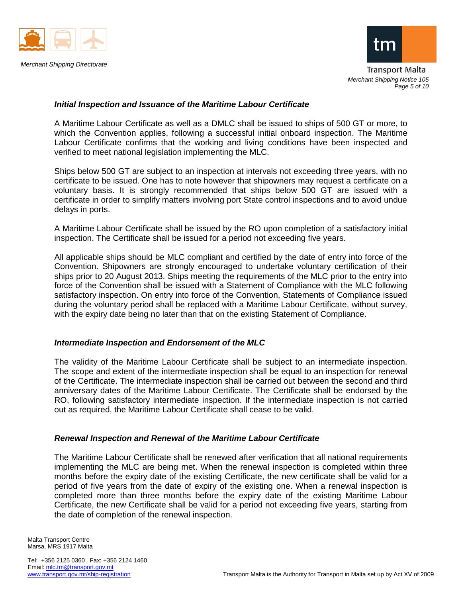



Transport Malta *Merchant Shipping Notice 105 Page 5 of 10*

#### *Initial Inspection and Issuance of the Maritime Labour Certificate*

A Maritime Labour Certificate as well as a DMLC shall be issued to ships of 500 GT or more, to which the Convention applies, following a successful initial onboard inspection. The Maritime Labour Certificate confirms that the working and living conditions have been inspected and verified to meet national legislation implementing the MLC.

Ships below 500 GT are subject to an inspection at intervals not exceeding three years, with no certificate to be issued. One has to note however that shipowners may request a certificate on a voluntary basis. It is strongly recommended that ships below 500 GT are issued with a certificate in order to simplify matters involving port State control inspections and to avoid undue delays in ports.

A Maritime Labour Certificate shall be issued by the RO upon completion of a satisfactory initial inspection. The Certificate shall be issued for a period not exceeding five years.

All applicable ships should be MLC compliant and certified by the date of entry into force of the Convention. Shipowners are strongly encouraged to undertake voluntary certification of their ships prior to 20 August 2013. Ships meeting the requirements of the MLC prior to the entry into force of the Convention shall be issued with a Statement of Compliance with the MLC following satisfactory inspection. On entry into force of the Convention, Statements of Compliance issued during the voluntary period shall be replaced with a Maritime Labour Certificate, without survey, with the expiry date being no later than that on the existing Statement of Compliance.

#### *Intermediate Inspection and Endorsement of the MLC*

The validity of the Maritime Labour Certificate shall be subject to an intermediate inspection. The scope and extent of the intermediate inspection shall be equal to an inspection for renewal of the Certificate. The intermediate inspection shall be carried out between the second and third anniversary dates of the Maritime Labour Certificate. The Certificate shall be endorsed by the RO, following satisfactory intermediate inspection. If the intermediate inspection is not carried out as required, the Maritime Labour Certificate shall cease to be valid.

#### *Renewal Inspection and Renewal of the Maritime Labour Certificate*

The Maritime Labour Certificate shall be renewed after verification that all national requirements implementing the MLC are being met. When the renewal inspection is completed within three months before the expiry date of the existing Certificate, the new certificate shall be valid for a period of five years from the date of expiry of the existing one. When a renewal inspection is completed more than three months before the expiry date of the existing Maritime Labour Certificate, the new Certificate shall be valid for a period not exceeding five years, starting from the date of completion of the renewal inspection.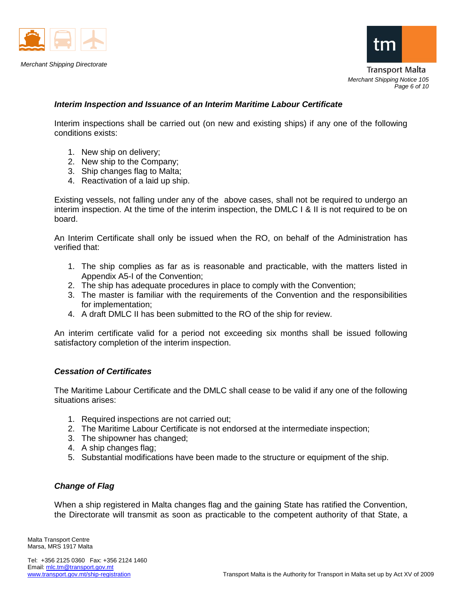



**Transport Malta** *Merchant Shipping Notice 105 Page 6 of 10*

## *Interim Inspection and Issuance of an Interim Maritime Labour Certificate*

Interim inspections shall be carried out (on new and existing ships) if any one of the following conditions exists:

- 1. New ship on delivery;
- 2. New ship to the Company;
- 3. Ship changes flag to Malta;
- 4. Reactivation of a laid up ship.

Existing vessels, not falling under any of the above cases, shall not be required to undergo an interim inspection. At the time of the interim inspection, the DMLC I & II is not required to be on board.

An Interim Certificate shall only be issued when the RO, on behalf of the Administration has verified that:

- 1. The ship complies as far as is reasonable and practicable, with the matters listed in Appendix A5-I of the Convention;
- 2. The ship has adequate procedures in place to comply with the Convention;
- 3. The master is familiar with the requirements of the Convention and the responsibilities for implementation;
- 4. A draft DMLC II has been submitted to the RO of the ship for review.

An interim certificate valid for a period not exceeding six months shall be issued following satisfactory completion of the interim inspection.

#### *Cessation of Certificates*

The Maritime Labour Certificate and the DMLC shall cease to be valid if any one of the following situations arises:

- 1. Required inspections are not carried out;
- 2. The Maritime Labour Certificate is not endorsed at the intermediate inspection;
- 3. The shipowner has changed;
- 4. A ship changes flag;
- 5. Substantial modifications have been made to the structure or equipment of the ship.

## *Change of Flag*

When a ship registered in Malta changes flag and the gaining State has ratified the Convention, the Directorate will transmit as soon as practicable to the competent authority of that State, a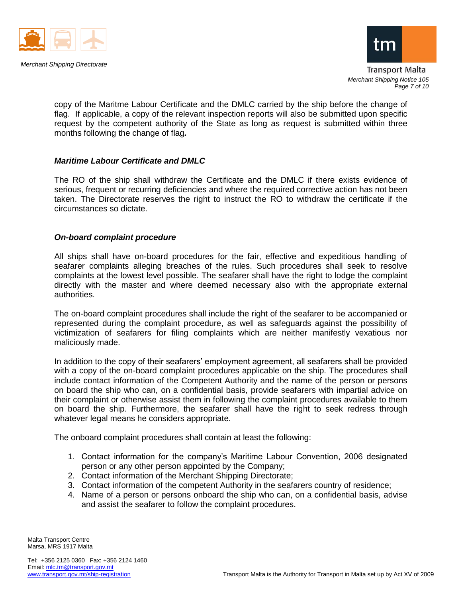



Transport Malta *Merchant Shipping Notice 105 Page 7 of 10*

copy of the Maritme Labour Certificate and the DMLC carried by the ship before the change of flag. If applicable, a copy of the relevant inspection reports will also be submitted upon specific request by the competent authority of the State as long as request is submitted within three months following the change of flag*.*

## *Maritime Labour Certificate and DMLC*

The RO of the ship shall withdraw the Certificate and the DMLC if there exists evidence of serious, frequent or recurring deficiencies and where the required corrective action has not been taken. The Directorate reserves the right to instruct the RO to withdraw the certificate if the circumstances so dictate.

## *On-board complaint procedure*

All ships shall have on-board procedures for the fair, effective and expeditious handling of seafarer complaints alleging breaches of the rules. Such procedures shall seek to resolve complaints at the lowest level possible. The seafarer shall have the right to lodge the complaint directly with the master and where deemed necessary also with the appropriate external authorities.

The on-board complaint procedures shall include the right of the seafarer to be accompanied or represented during the complaint procedure, as well as safeguards against the possibility of victimization of seafarers for filing complaints which are neither manifestly vexatious nor maliciously made.

In addition to the copy of their seafarers' employment agreement, all seafarers shall be provided with a copy of the on-board complaint procedures applicable on the ship. The procedures shall include contact information of the Competent Authority and the name of the person or persons on board the ship who can, on a confidential basis, provide seafarers with impartial advice on their complaint or otherwise assist them in following the complaint procedures available to them on board the ship. Furthermore, the seafarer shall have the right to seek redress through whatever legal means he considers appropriate.

The onboard complaint procedures shall contain at least the following:

- 1. Contact information for the company's Maritime Labour Convention, 2006 designated person or any other person appointed by the Company;
- 2. Contact information of the Merchant Shipping Directorate;
- 3. Contact information of the competent Authority in the seafarers country of residence;
- 4. Name of a person or persons onboard the ship who can, on a confidential basis, advise and assist the seafarer to follow the complaint procedures.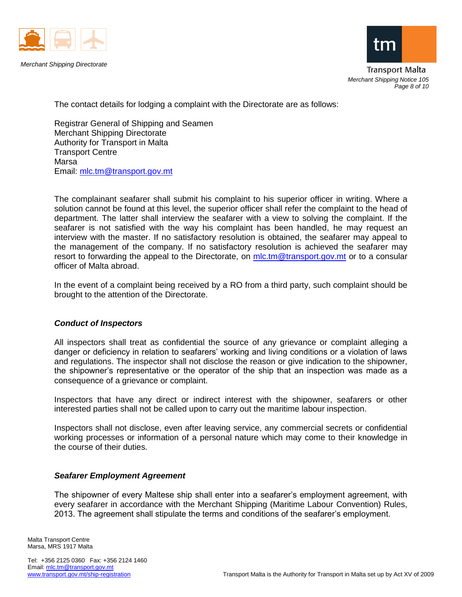



Transport Malta *Merchant Shipping Notice 105 Page 8 of 10*

The contact details for lodging a complaint with the Directorate are as follows:

Registrar General of Shipping and Seamen Merchant Shipping Directorate Authority for Transport in Malta Transport Centre Marsa Email: [mlc.tm@transport.gov.mt](mailto:mlc.tm@transport.gov.mt)

The complainant seafarer shall submit his complaint to his superior officer in writing. Where a solution cannot be found at this level, the superior officer shall refer the complaint to the head of department. The latter shall interview the seafarer with a view to solving the complaint. If the seafarer is not satisfied with the way his complaint has been handled, he may request an interview with the master. If no satisfactory resolution is obtained, the seafarer may appeal to the management of the company. If no satisfactory resolution is achieved the seafarer may resort to forwarding the appeal to the Directorate, on [mlc.tm@transport.gov.mt](mailto:mlc.tm@transport.gov.mt) or to a consular officer of Malta abroad.

In the event of a complaint being received by a RO from a third party, such complaint should be brought to the attention of the Directorate.

## *Conduct of Inspectors*

All inspectors shall treat as confidential the source of any grievance or complaint alleging a danger or deficiency in relation to seafarers' working and living conditions or a violation of laws and regulations. The inspector shall not disclose the reason or give indication to the shipowner, the shipowner's representative or the operator of the ship that an inspection was made as a consequence of a grievance or complaint.

Inspectors that have any direct or indirect interest with the shipowner, seafarers or other interested parties shall not be called upon to carry out the maritime labour inspection.

Inspectors shall not disclose, even after leaving service, any commercial secrets or confidential working processes or information of a personal nature which may come to their knowledge in the course of their duties.

#### *Seafarer Employment Agreement*

The shipowner of every Maltese ship shall enter into a seafarer's employment agreement, with every seafarer in accordance with the Merchant Shipping (Maritime Labour Convention) Rules, 2013. The agreement shall stipulate the terms and conditions of the seafarer's employment.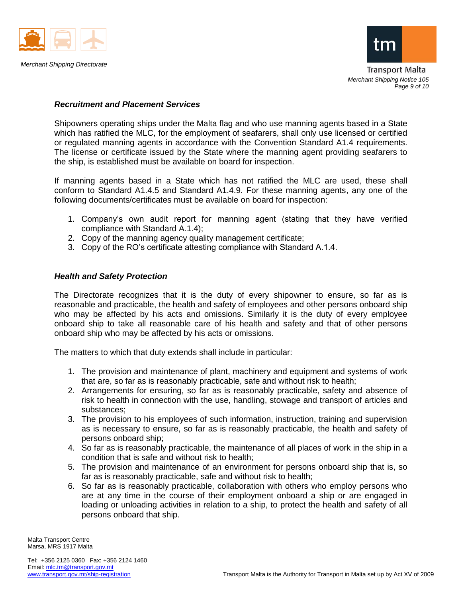



Transport Malta *Merchant Shipping Notice 105 Page 9 of 10*

#### *Recruitment and Placement Services*

Shipowners operating ships under the Malta flag and who use manning agents based in a State which has ratified the MLC, for the employment of seafarers, shall only use licensed or certified or regulated manning agents in accordance with the Convention Standard A1.4 requirements. The license or certificate issued by the State where the manning agent providing seafarers to the ship, is established must be available on board for inspection.

If manning agents based in a State which has not ratified the MLC are used, these shall conform to Standard A1.4.5 and Standard A1.4.9. For these manning agents, any one of the following documents/certificates must be available on board for inspection:

- 1. Company's own audit report for manning agent (stating that they have verified compliance with Standard A.1.4);
- 2. Copy of the manning agency quality management certificate;
- 3. Copy of the RO's certificate attesting compliance with Standard A.1.4.

## *Health and Safety Protection*

The Directorate recognizes that it is the duty of every shipowner to ensure, so far as is reasonable and practicable, the health and safety of employees and other persons onboard ship who may be affected by his acts and omissions. Similarly it is the duty of every employee onboard ship to take all reasonable care of his health and safety and that of other persons onboard ship who may be affected by his acts or omissions.

The matters to which that duty extends shall include in particular:

- 1. The provision and maintenance of plant, machinery and equipment and systems of work that are, so far as is reasonably practicable, safe and without risk to health;
- 2. Arrangements for ensuring, so far as is reasonably practicable, safety and absence of risk to health in connection with the use, handling, stowage and transport of articles and substances;
- 3. The provision to his employees of such information, instruction, training and supervision as is necessary to ensure, so far as is reasonably practicable, the health and safety of persons onboard ship;
- 4. So far as is reasonably practicable, the maintenance of all places of work in the ship in a condition that is safe and without risk to health;
- 5. The provision and maintenance of an environment for persons onboard ship that is, so far as is reasonably practicable, safe and without risk to health;
- 6. So far as is reasonably practicable, collaboration with others who employ persons who are at any time in the course of their employment onboard a ship or are engaged in loading or unloading activities in relation to a ship, to protect the health and safety of all persons onboard that ship.